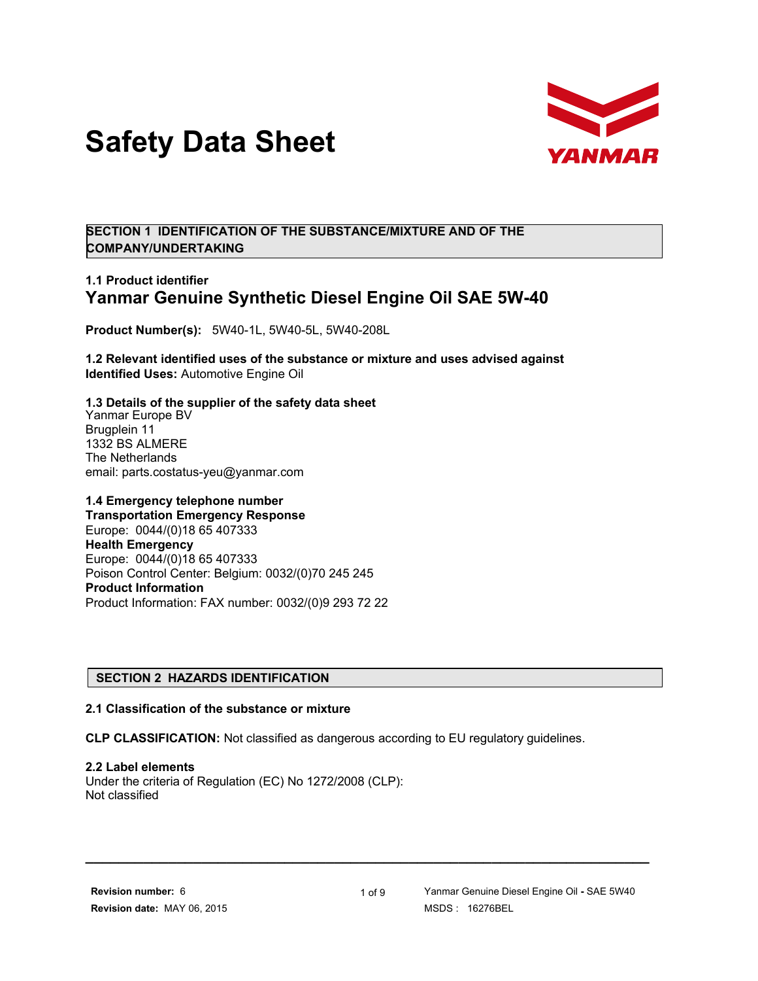



**SECTION 1 IDENTIFICATION OF THE SUBSTANCE/MIXTURE AND OF THE COMPANY/UNDERTAKING**

# **1.1 Product identifier Yanmar Genuine Synthetic Diesel Engine Oil SAE 5W-40**

**Product Number(s):** 5W40-1L, 5W40-5L, 5W40-208L

**1.2 Relevant identified uses of the substance or mixture and uses advised against Identified Uses:** Automotive Engine Oil

**1.3 Details of the supplier of the safety data sheet** Yanmar Europe BV Brugplein 11 1332 BS ALMERE The Netherlands email: parts.costatus-yeu@yanmar.com

**1.4 Emergency telephone number Transportation Emergency Response** Europe: 0044/(0)18 65 407333 **Health Emergency** Europe: 0044/(0)18 65 407333 Poison Control Center: Belgium: 0032/(0)70 245 245 **Product Information** Product Information: FAX number: 0032/(0)9 293 72 22

## **SECTION 2 HAZARDS IDENTIFICATION**

#### **2.1 Classification of the substance or mixture**

**CLP CLASSIFICATION:** Not classified as dangerous according to EU regulatory guidelines.

**2.2 Label elements**

Under the criteria of Regulation (EC) No 1272/2008 (CLP): Not classified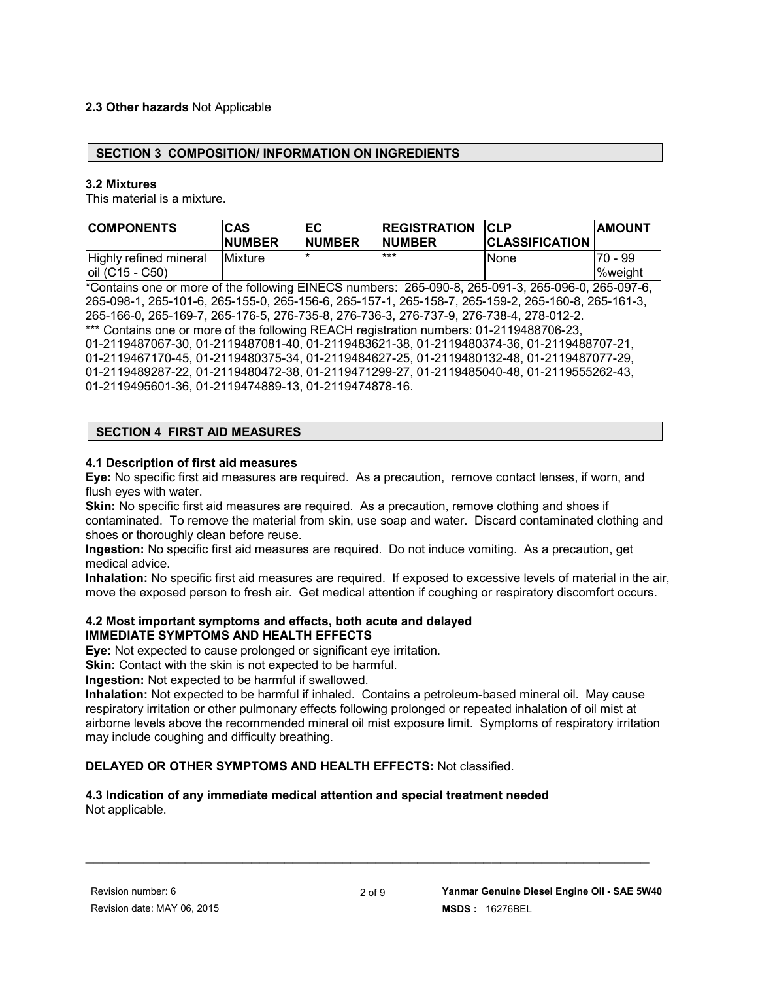## **2.3 Other hazards** Not Applicable

#### **SECTION 3 COMPOSITION/ INFORMATION ON INGREDIENTS**

#### **3.2 Mixtures**

This material is a mixture.

| <b>COMPONENTS</b>                            | <b>CAS</b><br><b>NUMBER</b> | ЕC<br><b>NUMBER</b> | <b>REGISTRATION</b><br><b>NUMBER</b> | <b>CLP</b><br><b>CLASSIFICATION</b> | <b>AMOUNT</b>        |
|----------------------------------------------|-----------------------------|---------------------|--------------------------------------|-------------------------------------|----------------------|
| Highly refined mineral<br>$ oil (C15 - C50)$ | <b>IMixture</b>             |                     | ***                                  | None                                | $70 - 99$<br>%weight |

\*Contains one or more of the following EINECS numbers: 265-090-8, 265-091-3, 265-096-0, 265-097-6, 265-098-1, 265-101-6, 265-155-0, 265-156-6, 265-157-1, 265-158-7, 265-159-2, 265-160-8, 265-161-3, 265-166-0, 265-169-7, 265-176-5, 276-735-8, 276-736-3, 276-737-9, 276-738-4, 278-012-2. \*\*\* Contains one or more of the following REACH registration numbers: 01-2119488706-23, 01-2119487067-30, 01-2119487081-40, 01-2119483621-38, 01-2119480374-36, 01-2119488707-21, 01-2119467170-45, 01-2119480375-34, 01-2119484627-25, 01-2119480132-48, 01-2119487077-29, 01-2119489287-22, 01-2119480472-38, 01-2119471299-27, 01-2119485040-48, 01-2119555262-43, 01-2119495601-36, 01-2119474889-13, 01-2119474878-16.

#### **SECTION 4 FIRST AID MEASURES**

#### **4.1 Description of first aid measures**

**Eye:** No specific first aid measures are required. As a precaution, remove contact lenses, if worn, and flush eyes with water.

**Skin:** No specific first aid measures are required. As a precaution, remove clothing and shoes if contaminated. To remove the material from skin, use soap and water. Discard contaminated clothing and shoes or thoroughly clean before reuse.

**Ingestion:** No specific first aid measures are required. Do not induce vomiting. As a precaution, get medical advice.

**Inhalation:** No specific first aid measures are required. If exposed to excessive levels of material in the air, move the exposed person to fresh air. Get medical attention if coughing or respiratory discomfort occurs.

#### **4.2 Most important symptoms and effects, both acute and delayed IMMEDIATE SYMPTOMS AND HEALTH EFFECTS**

**Eye:** Not expected to cause prolonged or significant eye irritation.

**Skin:** Contact with the skin is not expected to be harmful.

**Ingestion:** Not expected to be harmful if swallowed.

**Inhalation:** Not expected to be harmful if inhaled. Contains a petroleum-based mineral oil. May cause respiratory irritation or other pulmonary effects following prolonged or repeated inhalation of oil mist at airborne levels above the recommended mineral oil mist exposure limit. Symptoms of respiratory irritation may include coughing and difficulty breathing.

#### **DELAYED OR OTHER SYMPTOMS AND HEALTH EFFECTS:** Not classified.

#### **4.3 Indication of any immediate medical attention and special treatment needed** Not applicable.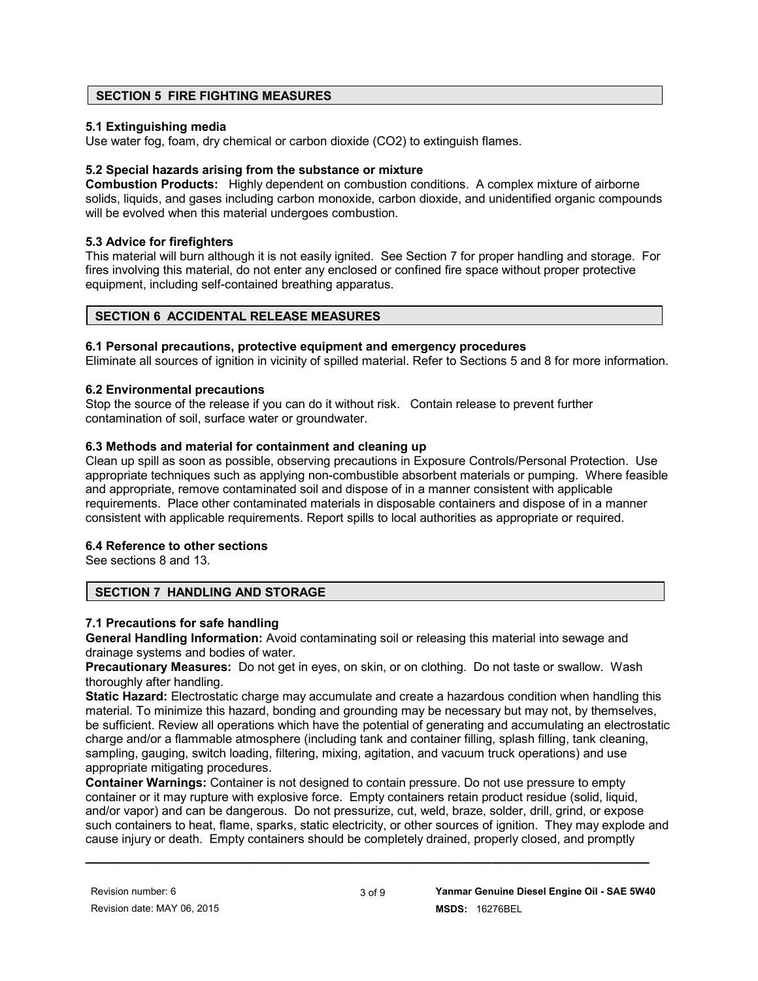## **SECTION 5 FIRE FIGHTING MEASURES**

## **5.1 Extinguishing media**

Use water fog, foam, dry chemical or carbon dioxide (CO2) to extinguish flames.

## **5.2 Special hazards arising from the substance or mixture**

**Combustion Products:** Highly dependent on combustion conditions. A complex mixture of airborne solids, liquids, and gases including carbon monoxide, carbon dioxide, and unidentified organic compounds will be evolved when this material undergoes combustion.

## **5.3 Advice for firefighters**

This material will burn although it is not easily ignited. See Section 7 for proper handling and storage. For fires involving this material, do not enter any enclosed or confined fire space without proper protective equipment, including self-contained breathing apparatus.

## **SECTION 6 ACCIDENTAL RELEASE MEASURES**

## **6.1 Personal precautions, protective equipment and emergency procedures**

Eliminate all sources of ignition in vicinity of spilled material. Refer to Sections 5 and 8 for more information.

## **6.2 Environmental precautions**

Stop the source of the release if you can do it without risk. Contain release to prevent further contamination of soil, surface water or groundwater.

## **6.3 Methods and material for containment and cleaning up**

Clean up spill as soon as possible, observing precautions in Exposure Controls/Personal Protection. Use appropriate techniques such as applying non-combustible absorbent materials or pumping. Where feasible and appropriate, remove contaminated soil and dispose of in a manner consistent with applicable requirements. Place other contaminated materials in disposable containers and dispose of in a manner consistent with applicable requirements. Report spills to local authorities as appropriate or required.

## **6.4 Reference to other sections**

See sections 8 and 13.

## **SECTION 7 HANDLING AND STORAGE**

## **7.1 Precautions for safe handling**

**General Handling Information:** Avoid contaminating soil or releasing this material into sewage and drainage systems and bodies of water.

**Precautionary Measures:** Do not get in eyes, on skin, or on clothing. Do not taste or swallow. Wash thoroughly after handling.

**Static Hazard:** Electrostatic charge may accumulate and create a hazardous condition when handling this material. To minimize this hazard, bonding and grounding may be necessary but may not, by themselves, be sufficient. Review all operations which have the potential of generating and accumulating an electrostatic charge and/or a flammable atmosphere (including tank and container filling, splash filling, tank cleaning, sampling, gauging, switch loading, filtering, mixing, agitation, and vacuum truck operations) and use appropriate mitigating procedures.

**Container Warnings:** Container is not designed to contain pressure. Do not use pressure to empty container or it may rupture with explosive force. Empty containers retain product residue (solid, liquid, and/or vapor) and can be dangerous. Do not pressurize, cut, weld, braze, solder, drill, grind, or expose such containers to heat, flame, sparks, static electricity, or other sources of ignition. They may explode and cause injury or death. Empty containers should be completely drained, properly closed, and promptly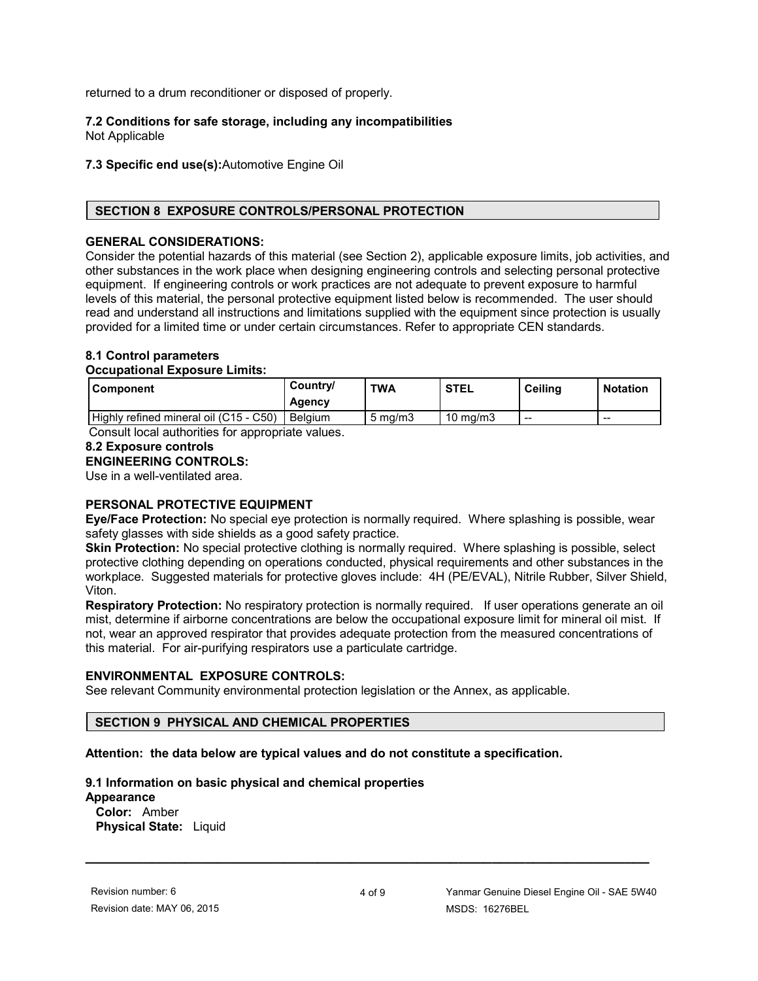returned to a drum reconditioner or disposed of properly.

# **7.2 Conditions for safe storage, including any incompatibilities**

Not Applicable

#### **7.3 Specific end use(s):**Automotive Engine Oil

## **SECTION 8 EXPOSURE CONTROLS/PERSONAL PROTECTION**

#### **GENERAL CONSIDERATIONS:**

Consider the potential hazards of this material (see Section 2), applicable exposure limits, job activities, and other substances in the work place when designing engineering controls and selecting personal protective equipment. If engineering controls or work practices are not adequate to prevent exposure to harmful levels of this material, the personal protective equipment listed below is recommended. The user should read and understand all instructions and limitations supplied with the equipment since protection is usually provided for a limited time or under certain circumstances. Refer to appropriate CEN standards.

## **8.1 Control parameters**

#### **Occupational Exposure Limits:**

| l Component                            | Country/<br>Agency | <b>TWA</b>       | <b>STEL</b> | <b>Ceiling</b> | <b>Notation</b> |
|----------------------------------------|--------------------|------------------|-------------|----------------|-----------------|
| Highly refined mineral oil (C15 - C50) | Belaium            | $5 \text{ ma/m}$ | 10 mg/m3    | $- -$          | $-$             |

Consult local authorities for appropriate values.

## **8.2 Exposure controls**

# **ENGINEERING CONTROLS:**

Use in a well-ventilated area.

# **PERSONAL PROTECTIVE EQUIPMENT**

**Eye/Face Protection:** No special eye protection is normally required. Where splashing is possible, wear safety glasses with side shields as a good safety practice.

**Skin Protection:** No special protective clothing is normally required. Where splashing is possible, select protective clothing depending on operations conducted, physical requirements and other substances in the workplace. Suggested materials for protective gloves include: 4H (PE/EVAL), Nitrile Rubber, Silver Shield, Viton.

**Respiratory Protection:** No respiratory protection is normally required. If user operations generate an oil mist, determine if airborne concentrations are below the occupational exposure limit for mineral oil mist. If not, wear an approved respirator that provides adequate protection from the measured concentrations of this material. For air-purifying respirators use a particulate cartridge.

#### **ENVIRONMENTAL EXPOSURE CONTROLS:**

See relevant Community environmental protection legislation or the Annex, as applicable.

## **SECTION 9 PHYSICAL AND CHEMICAL PROPERTIES**

## **Attention: the data below are typical values and do not constitute a specification.**

## **9.1 Information on basic physical and chemical properties**

# **Appearance**

**Color:** Amber  **Physical State:** Liquid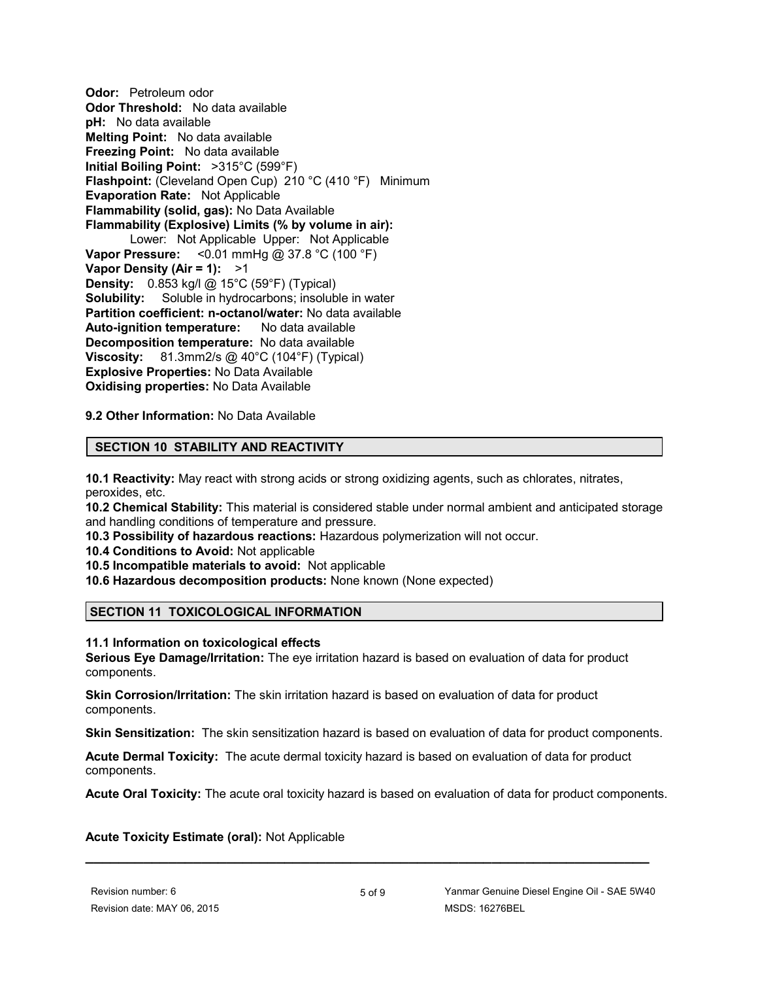**Odor:** Petroleum odor **Odor Threshold:** No data available **pH:** No data available **Melting Point:** No data available **Freezing Point:** No data available **Initial Boiling Point:** >315°C (599°F) **Flashpoint:** (Cleveland Open Cup) 210 °C (410 °F) Minimum **Evaporation Rate:** Not Applicable **Flammability (solid, gas):** No Data Available **Flammability (Explosive) Limits (% by volume in air):** Lower: Not Applicable Upper: Not Applicable **Vapor Pressure:** <0.01 mmHg @ 37.8 °C (100 °F) **Vapor Density (Air = 1):** >1 **Density:** 0.853 kg/l @ 15°C (59°F) (Typical) **Solubility:** Soluble in hydrocarbons; insoluble in water **Partition coefficient: n-octanol/water:** No data available **Auto-ignition temperature:** No data available **Decomposition temperature:** No data available **Viscosity:** 81.3mm2/s @ 40°C (104°F) (Typical) **Explosive Properties:** No Data Available **Oxidising properties:** No Data Available

**9.2 Other Information:** No Data Available

## **SECTION 10 STABILITY AND REACTIVITY**

**10.1 Reactivity:** May react with strong acids or strong oxidizing agents, such as chlorates, nitrates, peroxides, etc.

**10.2 Chemical Stability:** This material is considered stable under normal ambient and anticipated storage and handling conditions of temperature and pressure.

**10.3 Possibility of hazardous reactions:** Hazardous polymerization will not occur.

**10.4 Conditions to Avoid:** Not applicable

**10.5 Incompatible materials to avoid:** Not applicable

**10.6 Hazardous decomposition products:** None known (None expected)

## **SECTION 11 TOXICOLOGICAL INFORMATION**

#### **11.1 Information on toxicological effects**

**Serious Eye Damage/Irritation:** The eye irritation hazard is based on evaluation of data for product components.

**Skin Corrosion/Irritation:** The skin irritation hazard is based on evaluation of data for product components.

**Skin Sensitization:** The skin sensitization hazard is based on evaluation of data for product components.

**Acute Dermal Toxicity:** The acute dermal toxicity hazard is based on evaluation of data for product components.

**Acute Oral Toxicity:** The acute oral toxicity hazard is based on evaluation of data for product components.

## **Acute Toxicity Estimate (oral):** Not Applicable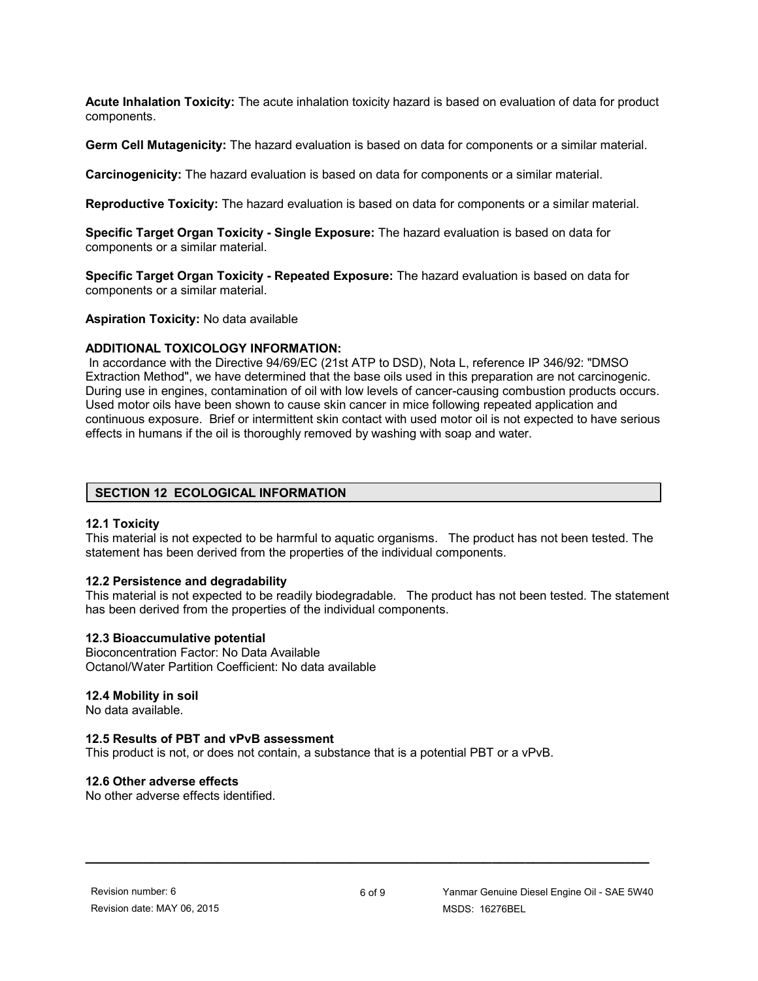**Acute Inhalation Toxicity:** The acute inhalation toxicity hazard is based on evaluation of data for product components.

**Germ Cell Mutagenicity:** The hazard evaluation is based on data for components or a similar material.

**Carcinogenicity:** The hazard evaluation is based on data for components or a similar material.

**Reproductive Toxicity:** The hazard evaluation is based on data for components or a similar material.

**Specific Target Organ Toxicity - Single Exposure:** The hazard evaluation is based on data for components or a similar material.

**Specific Target Organ Toxicity - Repeated Exposure:** The hazard evaluation is based on data for components or a similar material.

**Aspiration Toxicity:** No data available

#### **ADDITIONAL TOXICOLOGY INFORMATION:**

 In accordance with the Directive 94/69/EC (21st ATP to DSD), Nota L, reference IP 346/92: "DMSO Extraction Method", we have determined that the base oils used in this preparation are not carcinogenic. During use in engines, contamination of oil with low levels of cancer-causing combustion products occurs. Used motor oils have been shown to cause skin cancer in mice following repeated application and continuous exposure. Brief or intermittent skin contact with used motor oil is not expected to have serious effects in humans if the oil is thoroughly removed by washing with soap and water.

#### **SECTION 12 ECOLOGICAL INFORMATION**

#### **12.1 Toxicity**

This material is not expected to be harmful to aquatic organisms. The product has not been tested. The statement has been derived from the properties of the individual components.

#### **12.2 Persistence and degradability**

This material is not expected to be readily biodegradable. The product has not been tested. The statement has been derived from the properties of the individual components.

#### **12.3 Bioaccumulative potential**

Bioconcentration Factor: No Data Available Octanol/Water Partition Coefficient: No data available

#### **12.4 Mobility in soil**

No data available.

#### **12.5 Results of PBT and vPvB assessment**

This product is not, or does not contain, a substance that is a potential PBT or a vPvB.

#### **12.6 Other adverse effects**

No other adverse effects identified.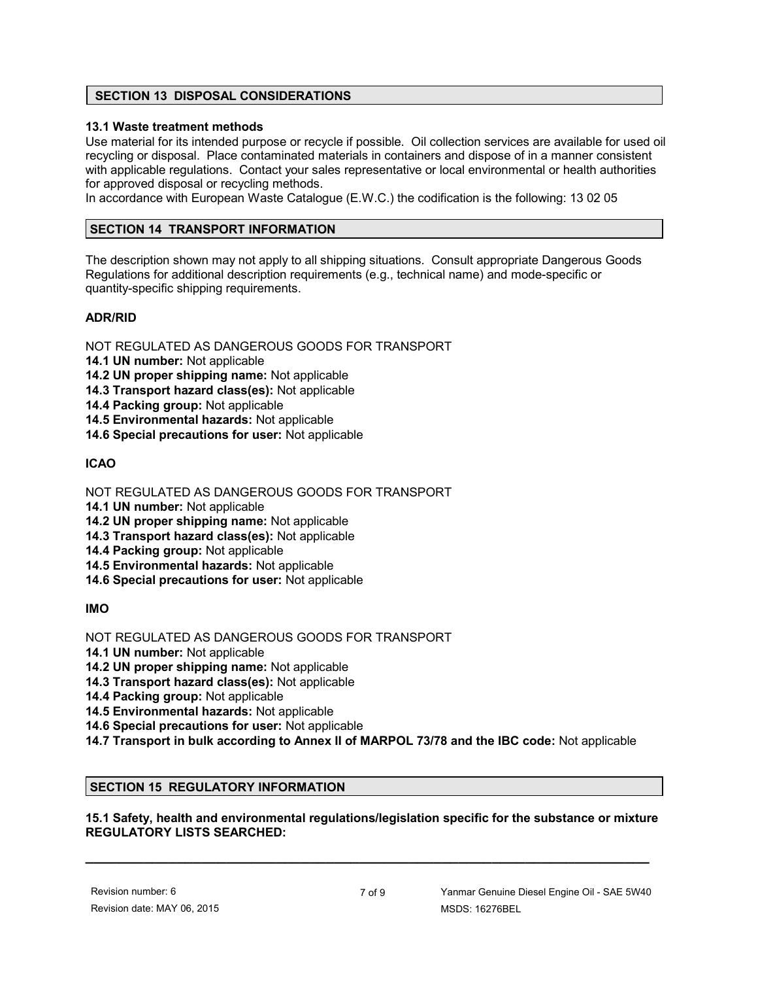## **SECTION 13 DISPOSAL CONSIDERATIONS**

## **13.1 Waste treatment methods**

Use material for its intended purpose or recycle if possible. Oil collection services are available for used oil recycling or disposal. Place contaminated materials in containers and dispose of in a manner consistent with applicable regulations. Contact your sales representative or local environmental or health authorities for approved disposal or recycling methods.

In accordance with European Waste Catalogue (E.W.C.) the codification is the following: 13 02 05

## **SECTION 14 TRANSPORT INFORMATION**

The description shown may not apply to all shipping situations. Consult appropriate Dangerous Goods Regulations for additional description requirements (e.g., technical name) and mode-specific or quantity-specific shipping requirements.

## **ADR/RID**

NOT REGULATED AS DANGEROUS GOODS FOR TRANSPORT

- **14.1 UN number:** Not applicable
- **14.2 UN proper shipping name:** Not applicable
- **14.3 Transport hazard class(es):** Not applicable
- **14.4 Packing group:** Not applicable
- **14.5 Environmental hazards:** Not applicable
- **14.6 Special precautions for user:** Not applicable

# **ICAO**

NOT REGULATED AS DANGEROUS GOODS FOR TRANSPORT

- **14.1 UN number:** Not applicable
- **14.2 UN proper shipping name:** Not applicable
- **14.3 Transport hazard class(es):** Not applicable
- **14.4 Packing group:** Not applicable
- **14.5 Environmental hazards:** Not applicable
- **14.6 Special precautions for user:** Not applicable

# **IMO**

NOT REGULATED AS DANGEROUS GOODS FOR TRANSPORT

- **14.1 UN number:** Not applicable
- **14.2 UN proper shipping name:** Not applicable
- **14.3 Transport hazard class(es):** Not applicable
- **14.4 Packing group:** Not applicable
- **14.5 Environmental hazards:** Not applicable
- **14.6 Special precautions for user:** Not applicable
- **14.7 Transport in bulk according to Annex II of MARPOL 73/78 and the IBC code:** Not applicable

# **SECTION 15 REGULATORY INFORMATION**

## **15.1 Safety, health and environmental regulations/legislation specific for the substance or mixture REGULATORY LISTS SEARCHED:**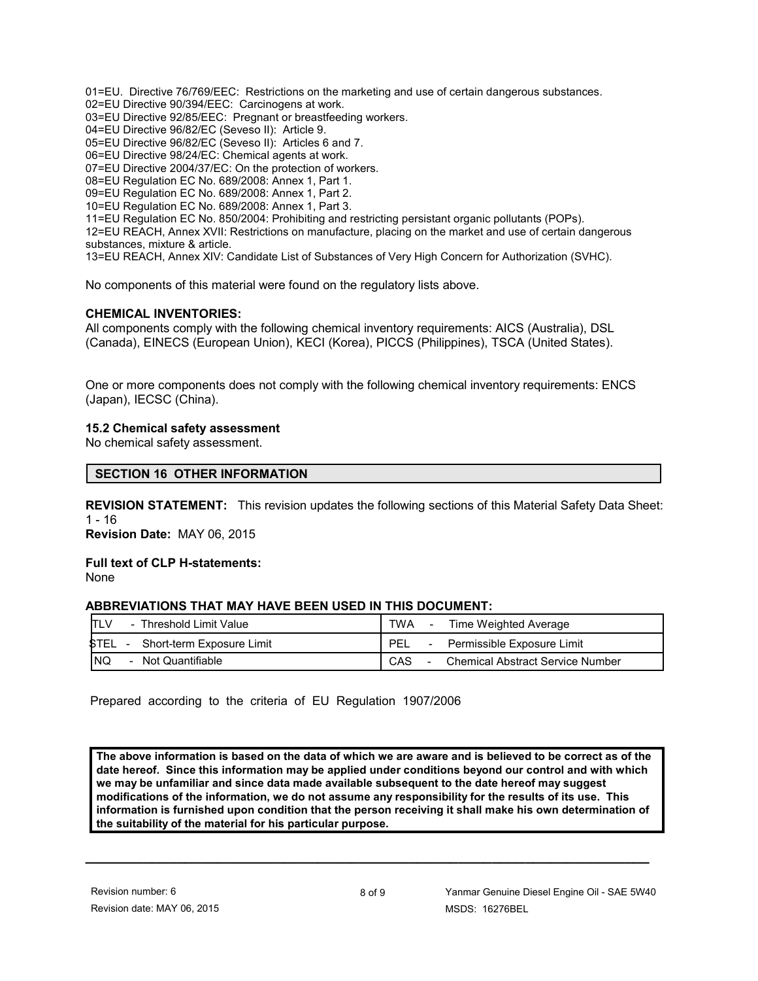01=EU. Directive 76/769/EEC: Restrictions on the marketing and use of certain dangerous substances. 02=EU Directive 90/394/EEC: Carcinogens at work.

03=EU Directive 92/85/EEC: Pregnant or breastfeeding workers.

04=EU Directive 96/82/EC (Seveso II): Article 9.

05=EU Directive 96/82/EC (Seveso II): Articles 6 and 7.

06=EU Directive 98/24/EC: Chemical agents at work.

07=EU Directive 2004/37/EC: On the protection of workers.

08=EU Regulation EC No. 689/2008: Annex 1, Part 1.

09=EU Regulation EC No. 689/2008: Annex 1, Part 2.

10=EU Regulation EC No. 689/2008: Annex 1, Part 3.

11=EU Regulation EC No. 850/2004: Prohibiting and restricting persistant organic pollutants (POPs).

12=EU REACH, Annex XVII: Restrictions on manufacture, placing on the market and use of certain dangerous substances, mixture & article.

13=EU REACH, Annex XIV: Candidate List of Substances of Very High Concern for Authorization (SVHC).

No components of this material were found on the regulatory lists above.

#### **CHEMICAL INVENTORIES:**

All components comply with the following chemical inventory requirements: AICS (Australia), DSL (Canada), EINECS (European Union), KECI (Korea), PICCS (Philippines), TSCA (United States).

One or more components does not comply with the following chemical inventory requirements: ENCS (Japan), IECSC (China).

#### **15.2 Chemical safety assessment**

No chemical safety assessment.

#### **SECTION 16 OTHER INFORMATION**

**REVISION STATEMENT:** This revision updates the following sections of this Material Safety Data Sheet: 1 - 16

**Revision Date:** MAY 06, 2015

**Full text of CLP H-statements:** None

#### **ABBREVIATIONS THAT MAY HAVE BEEN USED IN THIS DOCUMENT:**

|           | - Threshold Limit Value   | TWA |                          | Time Weighted Average                   |
|-----------|---------------------------|-----|--------------------------|-----------------------------------------|
| STEL -    | Short-term Exposure Limit | PEL | $\overline{\phantom{a}}$ | Permissible Exposure Limit              |
| <b>NQ</b> | - Not Quantifiable        | CAS |                          | <b>Chemical Abstract Service Number</b> |

Prepared according to the criteria of EU Regulation 1907/2006

**The above information is based on the data of which we are aware and is believed to be correct as of the date hereof. Since this information may be applied under conditions beyond our control and with which we may be unfamiliar and since data made available subsequent to the date hereof may suggest modifications of the information, we do not assume any responsibility for the results of its use. This information is furnished upon condition that the person receiving it shall make his own determination of the suitability of the material for his particular purpose.**